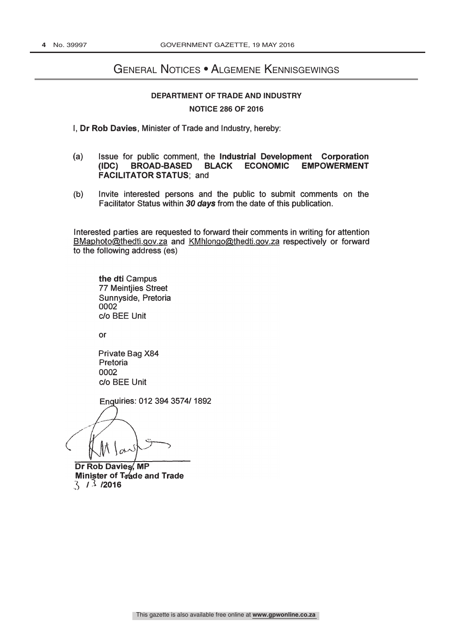### General Notices • Algemene Kennisgewings

### **DEPARTMENT OF TRADE AND INDUSTRY NOTICE 286 OF 2016**

I, Dr Rob Davies, Minister of Trade and Industry, hereby:

- (a) Issue for public comment, the Industrial Development Corporation (IDC) BROAD-BASED BLACK ECONOMIC EMPOWERMENT FACILITATOR STATUS; and
- (b) Invite interested persons and the public to submit comments on the Facilitator Status within 30 days from the date of this publication.

BMaphoto@thedti.gov.za and KMhlongo@thedti.gov.za respectively or forward Interested p arties are requested to forward their comments in writing for attention to the following address (es)

the dti Campus 77 Meintjies Street Sunnyside, Pretoria 0002 c/o BEE Unit

or

Private Bag X84 Pretoria 0002 c/o BEE Unit

Enquiries: 012 394 3574/ 1892

Dr Rob Davies, MP **Minister of Trade and Trade**  $3/3/2016$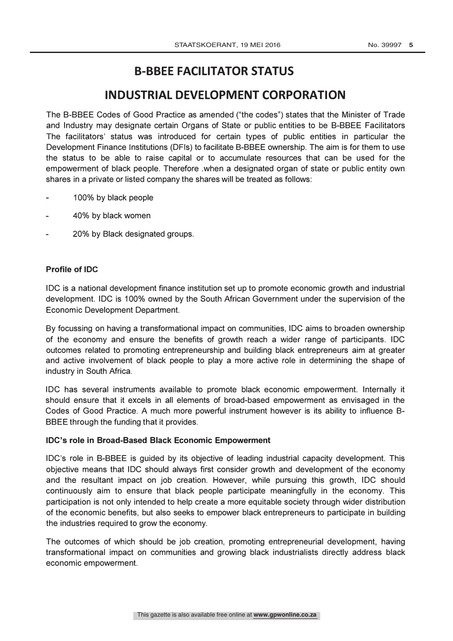# B-BBEE FACILITATOR STATUS

## INDUSTRIAL DEVELOPMENT CORPORATION

The 8-88EE Codes of Good Practice as amended ("the codes") states that the Minister of Trade and Industry may designate certain Organs of State or public entities to be 8-88EE Facilitators The facilitators' status was introduced for certain types of public entities in particular the Development Finance Institutions (DFis) to facilitate B-BBEE ownership. The aim is for them to use the status to be able to raise capital or to accumulate resources that can be used for the empowerment of black people. Therefore .when a designated organ of state or public entity own shares in a private or listed company the shares will be treated as follows:

- 1 00% by black people
- 40% by black women
- 20% by Black designated groups.

### Profile of IDC

IDC is a national development finance institution set up to promote economic growth and industrial development. IDC is 100% owned by the South African Government under the supervision of the Economic Development Department.

By focussing on having a transformational impact on communities, IDC aims to broaden ownership of the economy and ensure the benefits of growth reach a wider range of participants. IDC outcomes related to promoting entrepreneurship and building black entrepreneurs aim at greater and active involvement of black people to play a more active role in determining the shape of industry in South Africa.

IDC has several instruments available to promote black economic empowerment. Internally it should ensure that it excels in all elements of broad-based empowerment as envisaged in the Codes of Good Practice. A much more powerful instrument however is its ability to influence B-88EE through the funding that it provides.

### IDC's role in Broad-Based Black Economic Empowerment

IDC's role in 8-B8EE is guided by its objective of leading industrial capacity development. This objective means that IDC should always first consider growth and development of the economy and the resultant impact on job creation. However, while pursuing this growth, IDC should continuously aim to ensure that black people participate meaningfully in the economy. This participation is not only intended to help create a more equitable society through wider distribution of the economic benefits, but also seeks to empower black entrepreneurs to participate in building the industries required to grow the economy.

The outcomes of which should be job creation, promoting entrepreneurial development, having transformational impact on communities and growing black industrialists directly address black economic empowerment.